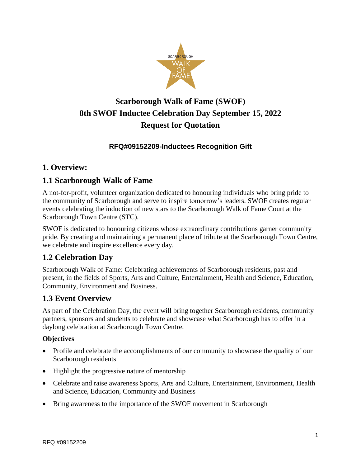

# **Scarborough Walk of Fame (SWOF) 8th SWOF Inductee Celebration Day September 15, 2022 Request for Quotation**

### **RFQ#09152209-Inductees Recognition Gift**

### **1. Overview:**

### **1.1 Scarborough Walk of Fame**

A not-for-profit, volunteer organization dedicated to honouring individuals who bring pride to the community of Scarborough and serve to inspire tomorrow's leaders. SWOF creates regular events celebrating the induction of new stars to the Scarborough Walk of Fame Court at the Scarborough Town Centre (STC).

SWOF is dedicated to honouring citizens whose extraordinary contributions garner community pride. By creating and maintaining a permanent place of tribute at the Scarborough Town Centre, we celebrate and inspire excellence every day.

# **1.2 Celebration Day**

Scarborough Walk of Fame: Celebrating achievements of Scarborough residents, past and present, in the fields of Sports, Arts and Culture, Entertainment, Health and Science, Education, Community, Environment and Business.

### **1.3 Event Overview**

As part of the Celebration Day, the event will bring together Scarborough residents, community partners, sponsors and students to celebrate and showcase what Scarborough has to offer in a daylong celebration at Scarborough Town Centre.

#### **Objectives**

- Profile and celebrate the accomplishments of our community to showcase the quality of our Scarborough residents
- Highlight the progressive nature of mentorship
- Celebrate and raise awareness Sports, Arts and Culture, Entertainment, Environment, Health and Science, Education, Community and Business
- Bring awareness to the importance of the SWOF movement in Scarborough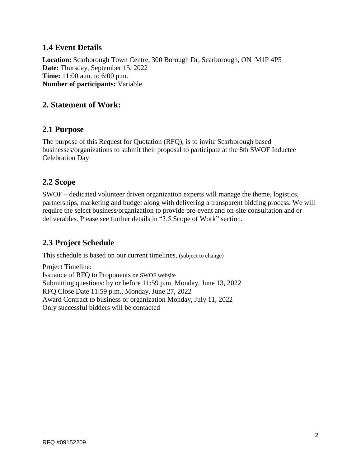### **1.4 Event Details**

**Location:** Scarborough Town Centre, 300 Borough Dr, Scarborough, ON M1P 4P5 **Date:** Thursday, September 15, 2022 **Time:** 11:00 a.m. to 6:00 p.m. **Number of participants:** Variable

### **2. Statement of Work:**

#### **2.1 Purpose**

The purpose of this Request for Quotation (RFQ), is to invite Scarborough based businesses/organizations to submit their proposal to participate at the 8th SWOF Inductee Celebration Day

#### **2.2 Scope**

SWOF – dedicated volunteer driven organization experts will manage the theme, logistics, partnerships, marketing and budget along with delivering a transparent bidding process. We will require the select business/organization to provide pre-event and on-site consultation and or deliverables. Please see further details in "3.5 Scope of Work" section.

# **2.3 Project Schedule**

This schedule is based on our current timelines, (subject to change)

Project Timeline: Issuance of RFQ to Proponents on SWOF website Submitting questions: by or before 11:59 p.m. Monday, June 13, 2022 RFQ Close Date 11:59 p.m., Monday, June 27, 2022 Award Contract to business or organization Monday, July 11, 2022 Only successful bidders will be contacted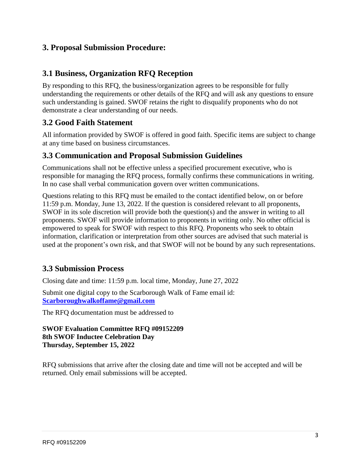### **3. Proposal Submission Procedure:**

### **3.1 Business, Organization RFQ Reception**

By responding to this RFQ, the business/organization agrees to be responsible for fully understanding the requirements or other details of the RFQ and will ask any questions to ensure such understanding is gained. SWOF retains the right to disqualify proponents who do not demonstrate a clear understanding of our needs.

### **3.2 Good Faith Statement**

All information provided by SWOF is offered in good faith. Specific items are subject to change at any time based on business circumstances.

#### **3.3 Communication and Proposal Submission Guidelines**

Communications shall not be effective unless a specified procurement executive, who is responsible for managing the RFQ process, formally confirms these communications in writing. In no case shall verbal communication govern over written communications.

Questions relating to this RFQ must be emailed to the contact identified below, on or before 11:59 p.m. Monday, June 13, 2022. If the question is considered relevant to all proponents, SWOF in its sole discretion will provide both the question(s) and the answer in writing to all proponents. SWOF will provide information to proponents in writing only. No other official is empowered to speak for SWOF with respect to this RFQ. Proponents who seek to obtain information, clarification or interpretation from other sources are advised that such material is used at the proponent's own risk, and that SWOF will not be bound by any such representations.

### **3.3 Submission Process**

Closing date and time: 11:59 p.m. local time, Monday, June 27, 2022

Submit one digital copy to the Scarborough Walk of Fame email id: **[Scarboroughwalkoffame@gmail.com](mailto:Scarboroughwalkoffame@gmail.com)**

The RFQ documentation must be addressed to

#### **SWOF Evaluation Committee RFQ #09152209 8th SWOF Inductee Celebration Day Thursday, September 15, 2022**

RFQ submissions that arrive after the closing date and time will not be accepted and will be returned. Only email submissions will be accepted.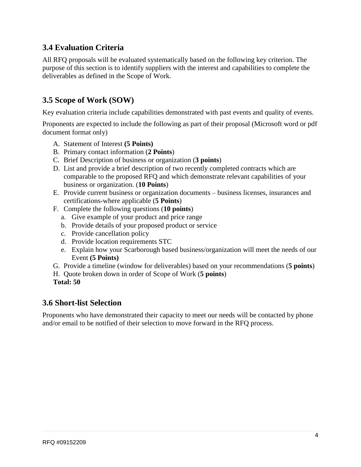# **3.4 Evaluation Criteria**

All RFQ proposals will be evaluated systematically based on the following key criterion. The purpose of this section is to identify suppliers with the interest and capabilities to complete the deliverables as defined in the Scope of Work.

# **3.5 Scope of Work (SOW)**

Key evaluation criteria include capabilities demonstrated with past events and quality of events.

Proponents are expected to include the following as part of their proposal (Microsoft word or pdf document format only)

- A. Statement of Interest **(5 Points)**
- B. Primary contact information (**2 Points**)
- C. Brief Description of business or organization (**3 points**)
- D. List and provide a brief description of two recently completed contracts which are comparable to the proposed RFQ and which demonstrate relevant capabilities of your business or organization. (**10 Points**)
- E. Provide current business or organization documents business licenses, insurances and certifications-where applicable (**5 Points**)
- F. Complete the following questions (**10 points**)
	- a. Give example of your product and price range
	- b. Provide details of your proposed product or service
	- c. Provide cancellation policy
	- d. Provide location requirements STC
	- e. Explain how your Scarborough based business/organization will meet the needs of our Event **(5 Points)**
- G. Provide a timeline (window for deliverables) based on your recommendations (**5 points**)
- H. Quote broken down in order of Scope of Work (**5 points**)
- **Total: 50**

#### **3.6 Short-list Selection**

Proponents who have demonstrated their capacity to meet our needs will be contacted by phone and/or email to be notified of their selection to move forward in the RFQ process.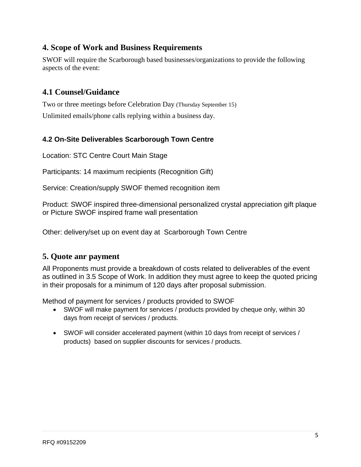# **4. Scope of Work and Business Requirements**

SWOF will require the Scarborough based businesses/organizations to provide the following aspects of the event:

# **4.1 Counsel/Guidance**

Two or three meetings before Celebration Day (Thursday September 15) Unlimited emails/phone calls replying within a business day.

#### **4.2 On-Site Deliverables Scarborough Town Centre**

Location: STC Centre Court Main Stage

Participants: 14 maximum recipients (Recognition Gift)

Service: Creation/supply SWOF themed recognition item

Product: SWOF inspired three-dimensional personalized crystal appreciation gift plaque or Picture SWOF inspired frame wall presentation

Other: delivery/set up on event day at Scarborough Town Centre

#### **5. Quote anr payment**

All Proponents must provide a breakdown of costs related to deliverables of the event as outlined in 3.5 Scope of Work. In addition they must agree to keep the quoted pricing in their proposals for a minimum of 120 days after proposal submission.

Method of payment for services / products provided to SWOF

- SWOF will make payment for services / products provided by cheque only, within 30 days from receipt of services / products.
- SWOF will consider accelerated payment (within 10 days from receipt of services / products) based on supplier discounts for services / products.